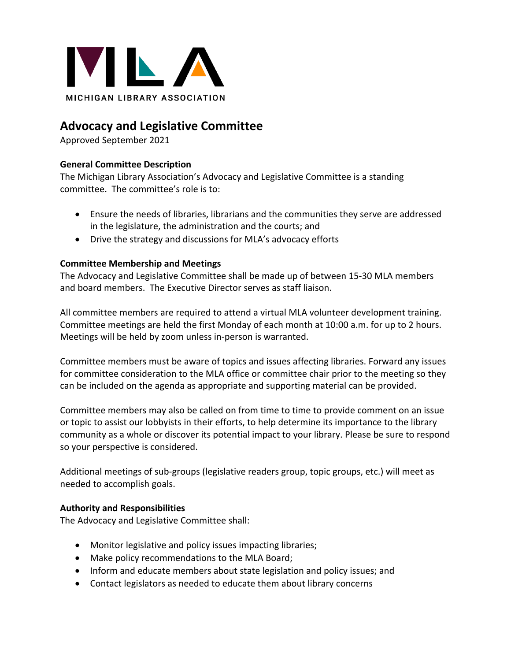

# **Advocacy and Legislative Committee**

Approved September 2021

## **General Committee Description**

The Michigan Library Association's Advocacy and Legislative Committee is a standing committee. The committee's role is to:

- Ensure the needs of libraries, librarians and the communities they serve are addressed in the legislature, the administration and the courts; and
- Drive the strategy and discussions for MLA's advocacy efforts

## **Committee Membership and Meetings**

The Advocacy and Legislative Committee shall be made up of between 15-30 MLA members and board members. The Executive Director serves as staff liaison.

All committee members are required to attend a virtual MLA volunteer development training. Committee meetings are held the first Monday of each month at 10:00 a.m. for up to 2 hours. Meetings will be held by zoom unless in-person is warranted.

Committee members must be aware of topics and issues affecting libraries. Forward any issues for committee consideration to the MLA office or committee chair prior to the meeting so they can be included on the agenda as appropriate and supporting material can be provided.

Committee members may also be called on from time to time to provide comment on an issue or topic to assist our lobbyists in their efforts, to help determine its importance to the library community as a whole or discover its potential impact to your library. Please be sure to respond so your perspective is considered.

Additional meetings of sub-groups (legislative readers group, topic groups, etc.) will meet as needed to accomplish goals.

#### **Authority and Responsibilities**

The Advocacy and Legislative Committee shall:

- Monitor legislative and policy issues impacting libraries;
- Make policy recommendations to the MLA Board;
- Inform and educate members about state legislation and policy issues; and
- Contact legislators as needed to educate them about library concerns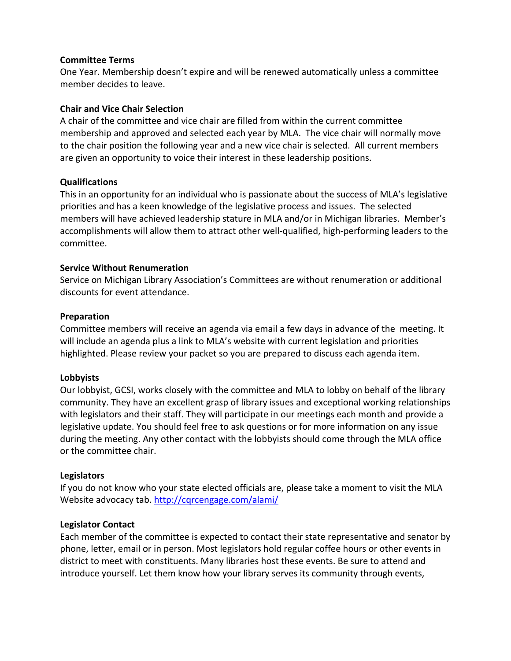#### **Committee Terms**

One Year. Membership doesn't expire and will be renewed automatically unless a committee member decides to leave.

### **Chair and Vice Chair Selection**

A chair of the committee and vice chair are filled from within the current committee membership and approved and selected each year by MLA. The vice chair will normally move to the chair position the following year and a new vice chair is selected. All current members are given an opportunity to voice their interest in these leadership positions.

#### **Qualifications**

This in an opportunity for an individual who is passionate about the success of MLA's legislative priorities and has a keen knowledge of the legislative process and issues. The selected members will have achieved leadership stature in MLA and/or in Michigan libraries. Member's accomplishments will allow them to attract other well-qualified, high-performing leaders to the committee.

## **Service Without Renumeration**

Service on Michigan Library Association's Committees are without renumeration or additional discounts for event attendance.

## **Preparation**

Committee members will receive an agenda via email a few days in advance of the meeting. It will include an agenda plus a link to MLA's website with current legislation and priorities highlighted. Please review your packet so you are prepared to discuss each agenda item.

#### **Lobbyists**

Our lobbyist, GCSI, works closely with the committee and MLA to lobby on behalf of the library community. They have an excellent grasp of library issues and exceptional working relationships with legislators and their staff. They will participate in our meetings each month and provide a legislative update. You should feel free to ask questions or for more information on any issue during the meeting. Any other contact with the lobbyists should come through the MLA office or the committee chair.

#### **Legislators**

If you do not know who your state elected officials are, please take a moment to visit the MLA Website advocacy tab. http://cqrcengage.com/alami/

#### **Legislator Contact**

Each member of the committee is expected to contact their state representative and senator by phone, letter, email or in person. Most legislators hold regular coffee hours or other events in district to meet with constituents. Many libraries host these events. Be sure to attend and introduce yourself. Let them know how your library serves its community through events,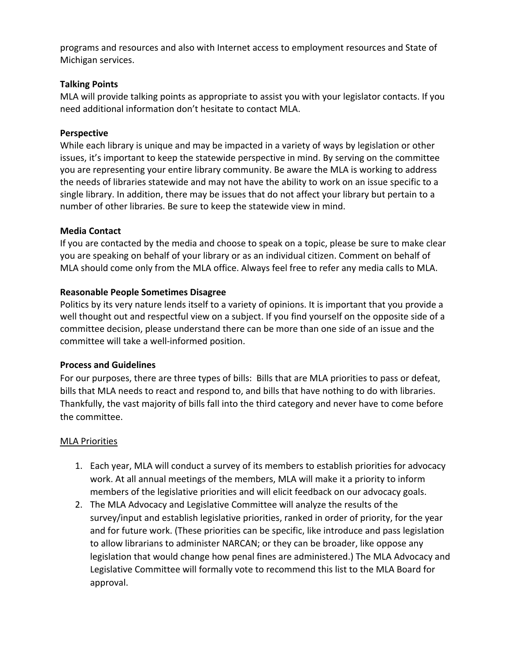programs and resources and also with Internet access to employment resources and State of Michigan services.

# **Talking Points**

MLA will provide talking points as appropriate to assist you with your legislator contacts. If you need additional information don't hesitate to contact MLA.

# **Perspective**

While each library is unique and may be impacted in a variety of ways by legislation or other issues, it's important to keep the statewide perspective in mind. By serving on the committee you are representing your entire library community. Be aware the MLA is working to address the needs of libraries statewide and may not have the ability to work on an issue specific to a single library. In addition, there may be issues that do not affect your library but pertain to a number of other libraries. Be sure to keep the statewide view in mind.

# **Media Contact**

If you are contacted by the media and choose to speak on a topic, please be sure to make clear you are speaking on behalf of your library or as an individual citizen. Comment on behalf of MLA should come only from the MLA office. Always feel free to refer any media calls to MLA.

# **Reasonable People Sometimes Disagree**

Politics by its very nature lends itself to a variety of opinions. It is important that you provide a well thought out and respectful view on a subject. If you find yourself on the opposite side of a committee decision, please understand there can be more than one side of an issue and the committee will take a well-informed position.

## **Process and Guidelines**

For our purposes, there are three types of bills: Bills that are MLA priorities to pass or defeat, bills that MLA needs to react and respond to, and bills that have nothing to do with libraries. Thankfully, the vast majority of bills fall into the third category and never have to come before the committee.

## MLA Priorities

- 1. Each year, MLA will conduct a survey of its members to establish priorities for advocacy work. At all annual meetings of the members, MLA will make it a priority to inform members of the legislative priorities and will elicit feedback on our advocacy goals.
- 2. The MLA Advocacy and Legislative Committee will analyze the results of the survey/input and establish legislative priorities, ranked in order of priority, for the year and for future work. (These priorities can be specific, like introduce and pass legislation to allow librarians to administer NARCAN; or they can be broader, like oppose any legislation that would change how penal fines are administered.) The MLA Advocacy and Legislative Committee will formally vote to recommend this list to the MLA Board for approval.